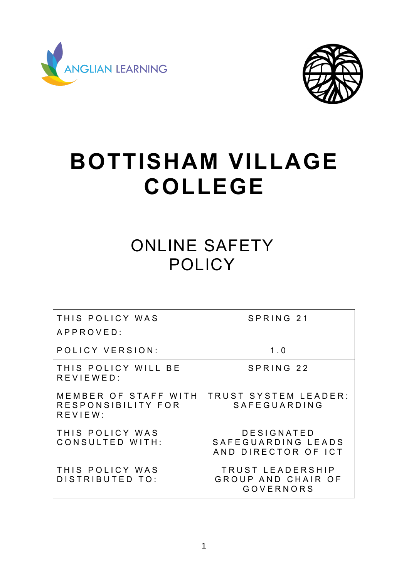



# **BOTTISHAM VILLAGE COLLEGE**

# ONLINE SAFETY **POLICY**

| THIS POLICY WAS<br>APPROVED:                          | SPRING 21                                                  |
|-------------------------------------------------------|------------------------------------------------------------|
| POLICY VERSION:                                       | 1.0                                                        |
| THIS POLICY WILL BE<br>$R$ E V I E W E D :            | SPRING 22                                                  |
| MEMBER OF STAFF WITH<br>RESPONSIBILITY FOR<br>REVIEW: | TRUST SYSTEM LEADER:<br>SAFEGUARDING                       |
| THIS POLICY WAS<br>CONSULTED WITH:                    | DESIGNATED<br>SAFEGUARDING LEADS<br>AND DIRECTOR OF ICT    |
| THIS POLICY WAS<br>DISTRIBUTED TO:                    | TRUST LEADERSHIP<br>GROUP AND CHAIR OF<br><b>GOVERNORS</b> |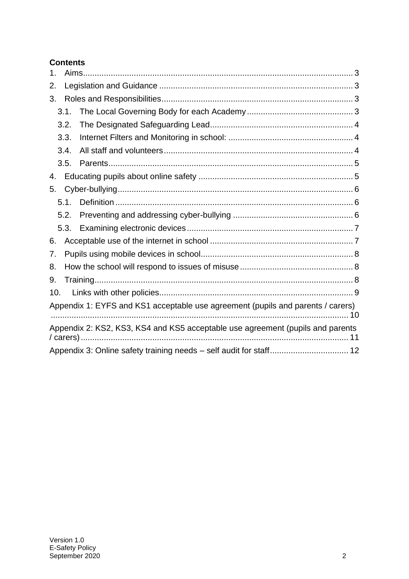# **Contents**

| 1.  |      |                                                                                 |  |
|-----|------|---------------------------------------------------------------------------------|--|
| 2.  |      |                                                                                 |  |
| 3.  |      |                                                                                 |  |
|     | 3.1. |                                                                                 |  |
|     | 3.2. |                                                                                 |  |
|     | 3.3. |                                                                                 |  |
|     | 3.4. |                                                                                 |  |
|     | 3.5. |                                                                                 |  |
| 4.  |      |                                                                                 |  |
| 5.  |      |                                                                                 |  |
|     | 5.1. |                                                                                 |  |
|     | 5.2. |                                                                                 |  |
|     | 5.3. |                                                                                 |  |
| 6.  |      |                                                                                 |  |
| 7.  |      |                                                                                 |  |
| 8.  |      |                                                                                 |  |
| 9.  |      |                                                                                 |  |
| 10. |      |                                                                                 |  |
|     |      | Appendix 1: EYFS and KS1 acceptable use agreement (pupils and parents / carers) |  |
|     |      | Appendix 2: KS2, KS3, KS4 and KS5 acceptable use agreement (pupils and parents  |  |
|     |      |                                                                                 |  |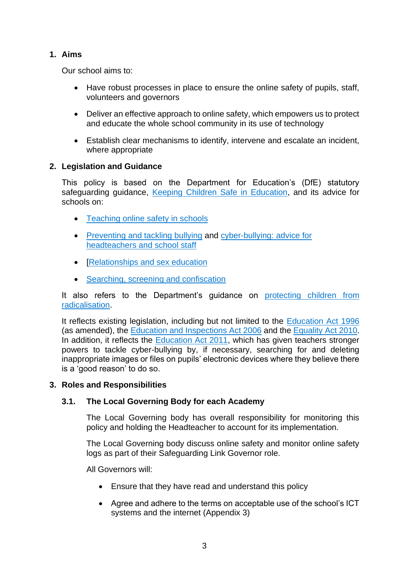# <span id="page-2-0"></span>**1. Aims**

Our school aims to:

- Have robust processes in place to ensure the online safety of pupils, staff, volunteers and governors
- Deliver an effective approach to online safety, which empowers us to protect and educate the whole school community in its use of technology
- Establish clear mechanisms to identify, intervene and escalate an incident, where appropriate

#### <span id="page-2-1"></span>**2. Legislation and Guidance**

This policy is based on the Department for Education's (DfE) statutory safeguarding guidance, [Keeping Children Safe in Education,](https://www.gov.uk/government/publications/keeping-children-safe-in-education--2) and its advice for schools on:

- [Teaching online safety in schools](https://www.gov.uk/government/publications/teaching-online-safety-in-schools)
- [Preventing and tackling bullying](https://www.gov.uk/government/publications/preventing-and-tackling-bullying) and [cyber-bullying: advice for](https://www.gov.uk/government/publications/preventing-and-tackling-bullying)  [headteachers and school staff](https://www.gov.uk/government/publications/preventing-and-tackling-bullying)
- [\[Relationships and sex education](https://www.gov.uk/government/publications/relationships-education-relationships-and-sex-education-rse-and-health-education)
- [Searching, screening and confiscation](https://www.gov.uk/government/publications/searching-screening-and-confiscation)

It also refers to the Department's guidance on [protecting children from](https://www.gov.uk/government/publications/protecting-children-from-radicalisation-the-prevent-duty)  [radicalisation.](https://www.gov.uk/government/publications/protecting-children-from-radicalisation-the-prevent-duty)

It reflects existing legislation, including but not limited to the [Education Act 1996](https://www.legislation.gov.uk/ukpga/1996/56/contents) (as amended), the [Education and Inspections Act 2006](https://www.legislation.gov.uk/ukpga/2006/40/contents) and the Equality [Act 2010.](https://www.legislation.gov.uk/ukpga/2010/15/contents) In addition, it reflects the [Education Act 2011,](http://www.legislation.gov.uk/ukpga/2011/21/contents/enacted) which has given teachers stronger powers to tackle cyber-bullying by, if necessary, searching for and deleting inappropriate images or files on pupils' electronic devices where they believe there is a 'good reason' to do so.

# <span id="page-2-2"></span>**3. Roles and Responsibilities**

# <span id="page-2-3"></span>**3.1. The Local Governing Body for each Academy**

The Local Governing body has overall responsibility for monitoring this policy and holding the Headteacher to account for its implementation.

The Local Governing body discuss online safety and monitor online safety logs as part of their Safeguarding Link Governor role.

All Governors will:

- Ensure that they have read and understand this policy
- Agree and adhere to the terms on acceptable use of the school's ICT systems and the internet (Appendix 3)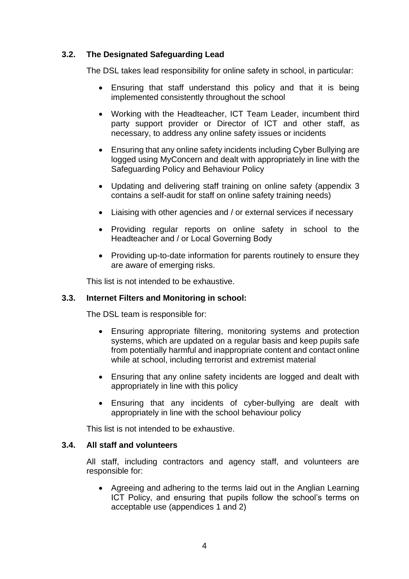# <span id="page-3-0"></span>**3.2. The Designated Safeguarding Lead**

The DSL takes lead responsibility for online safety in school, in particular:

- Ensuring that staff understand this policy and that it is being implemented consistently throughout the school
- Working with the Headteacher, ICT Team Leader, incumbent third party support provider or Director of ICT and other staff, as necessary, to address any online safety issues or incidents
- Ensuring that any online safety incidents including Cyber Bullying are logged using MyConcern and dealt with appropriately in line with the Safeguarding Policy and Behaviour Policy
- Updating and delivering staff training on online safety (appendix 3 contains a self-audit for staff on online safety training needs)
- Liaising with other agencies and / or external services if necessary
- Providing regular reports on online safety in school to the Headteacher and / or Local Governing Body
- Providing up-to-date information for parents routinely to ensure they are aware of emerging risks.

This list is not intended to be exhaustive.

# <span id="page-3-1"></span>**3.3. Internet Filters and Monitoring in school:**

The DSL team is responsible for:

- Ensuring appropriate filtering, monitoring systems and protection systems, which are updated on a regular basis and keep pupils safe from potentially harmful and inappropriate content and contact online while at school, including terrorist and extremist material
- Ensuring that any online safety incidents are logged and dealt with appropriately in line with this policy
- Ensuring that any incidents of cyber-bullying are dealt with appropriately in line with the school behaviour policy

This list is not intended to be exhaustive.

# <span id="page-3-2"></span>**3.4. All staff and volunteers**

All staff, including contractors and agency staff, and volunteers are responsible for:

• Agreeing and adhering to the terms laid out in the Anglian Learning ICT Policy, and ensuring that pupils follow the school's terms on acceptable use (appendices 1 and 2)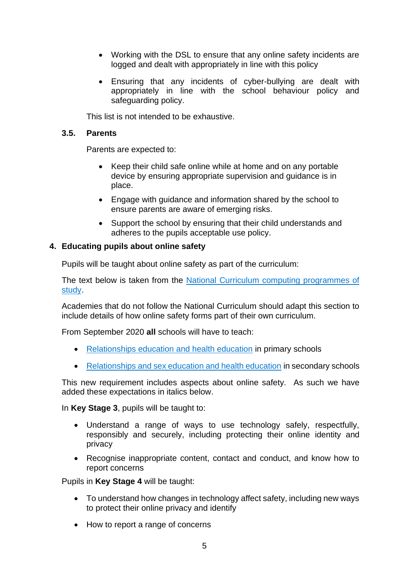- Working with the DSL to ensure that any online safety incidents are logged and dealt with appropriately in line with this policy
- Ensuring that any incidents of cyber-bullying are dealt with appropriately in line with the school behaviour policy and safeguarding policy.

This list is not intended to be exhaustive.

#### <span id="page-4-0"></span>**3.5. Parents**

Parents are expected to:

- Keep their child safe online while at home and on any portable device by ensuring appropriate supervision and guidance is in place.
- Engage with guidance and information shared by the school to ensure parents are aware of emerging risks.
- Support the school by ensuring that their child understands and adheres to the pupils acceptable use policy.

#### <span id="page-4-1"></span>**4. Educating pupils about online safety**

Pupils will be taught about online safety as part of the curriculum:

The text below is taken from the National Curriculum computing programmes of [study.](https://www.gov.uk/government/publications/national-curriculum-in-england-computing-programmes-of-study/national-curriculum-in-england-computing-programmes-of-study)

Academies that do not follow the National Curriculum should adapt this section to include details of how online safety forms part of their own curriculum.

From September 2020 **all** schools will have to teach:

- [Relationships education and health education](https://schoolleaders.thekeysupport.com/uid/8b76f587-7bf6-4994-abf0-43850c6e8d73/) in primary schools
- [Relationships and sex education and health education](https://schoolleaders.thekeysupport.com/uid/66a1d83e-2fb9-411e-91f1-fe52a09d16d1/) in secondary schools

This new requirement includes aspects about online safety. As such we have added these expectations in italics below.

In **Key Stage 3**, pupils will be taught to:

- Understand a range of ways to use technology safely, respectfully, responsibly and securely, including protecting their online identity and privacy
- Recognise inappropriate content, contact and conduct, and know how to report concerns

Pupils in **Key Stage 4** will be taught:

- To understand how changes in technology affect safety, including new ways to protect their online privacy and identify
- How to report a range of concerns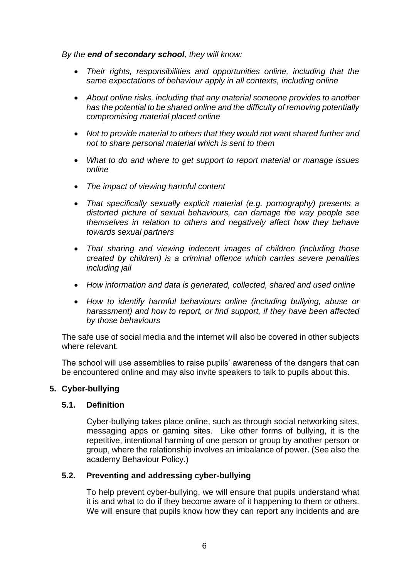*By the end of secondary school, they will know:*

- *Their rights, responsibilities and opportunities online, including that the same expectations of behaviour apply in all contexts, including online*
- *About online risks, including that any material someone provides to another has the potential to be shared online and the difficulty of removing potentially compromising material placed online*
- *Not to provide material to others that they would not want shared further and not to share personal material which is sent to them*
- *What to do and where to get support to report material or manage issues online*
- *The impact of viewing harmful content*
- *That specifically sexually explicit material (e.g. pornography) presents a distorted picture of sexual behaviours, can damage the way people see themselves in relation to others and negatively affect how they behave towards sexual partners*
- *That sharing and viewing indecent images of children (including those created by children) is a criminal offence which carries severe penalties including jail*
- *How information and data is generated, collected, shared and used online*
- *How to identify harmful behaviours online (including bullying, abuse or harassment) and how to report, or find support, if they have been affected by those behaviours*

The safe use of social media and the internet will also be covered in other subjects where relevant.

The school will use assemblies to raise pupils' awareness of the dangers that can be encountered online and may also invite speakers to talk to pupils about this.

#### <span id="page-5-0"></span>**5. Cyber-bullying**

#### <span id="page-5-1"></span>**5.1. Definition**

Cyber-bullying takes place online, such as through social networking sites, messaging apps or gaming sites. Like other forms of bullying, it is the repetitive, intentional harming of one person or group by another person or group, where the relationship involves an imbalance of power. (See also the academy Behaviour Policy.)

# <span id="page-5-2"></span>**5.2. Preventing and addressing cyber-bullying**

To help prevent cyber-bullying, we will ensure that pupils understand what it is and what to do if they become aware of it happening to them or others. We will ensure that pupils know how they can report any incidents and are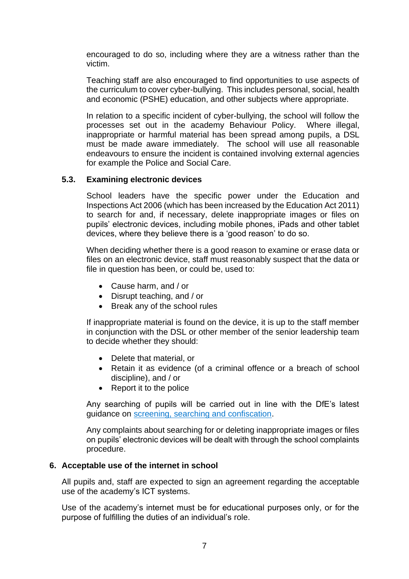encouraged to do so, including where they are a witness rather than the victim.

Teaching staff are also encouraged to find opportunities to use aspects of the curriculum to cover cyber-bullying. This includes personal, social, health and economic (PSHE) education, and other subjects where appropriate.

In relation to a specific incident of cyber-bullying, the school will follow the processes set out in the academy Behaviour Policy. Where illegal, inappropriate or harmful material has been spread among pupils, a DSL must be made aware immediately. The school will use all reasonable endeavours to ensure the incident is contained involving external agencies for example the Police and Social Care.

#### <span id="page-6-0"></span>**5.3. Examining electronic devices**

School leaders have the specific power under the Education and Inspections Act 2006 (which has been increased by the Education Act 2011) to search for and, if necessary, delete inappropriate images or files on pupils' electronic devices, including mobile phones, iPads and other tablet devices, where they believe there is a 'good reason' to do so.

When deciding whether there is a good reason to examine or erase data or files on an electronic device, staff must reasonably suspect that the data or file in question has been, or could be, used to:

- Cause harm, and / or
- Disrupt teaching, and / or
- Break any of the school rules

If inappropriate material is found on the device, it is up to the staff member in conjunction with the DSL or other member of the senior leadership team to decide whether they should:

- Delete that material, or
- Retain it as evidence (of a criminal offence or a breach of school discipline), and / or
- Report it to the police

Any searching of pupils will be carried out in line with the DfE's latest guidance on [screening, searching and confiscation.](https://www.gov.uk/government/publications/searching-screening-and-confiscation)

Any complaints about searching for or deleting inappropriate images or files on pupils' electronic devices will be dealt with through the school complaints procedure.

#### <span id="page-6-1"></span>**6. Acceptable use of the internet in school**

All pupils and, staff are expected to sign an agreement regarding the acceptable use of the academy's ICT systems.

Use of the academy's internet must be for educational purposes only, or for the purpose of fulfilling the duties of an individual's role.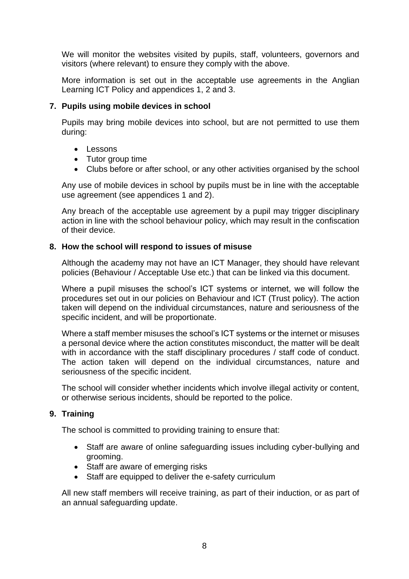We will monitor the websites visited by pupils, staff, volunteers, governors and visitors (where relevant) to ensure they comply with the above.

More information is set out in the acceptable use agreements in the Anglian Learning ICT Policy and appendices 1, 2 and 3.

#### <span id="page-7-0"></span>**7. Pupils using mobile devices in school**

Pupils may bring mobile devices into school, but are not permitted to use them during:

- Lessons
- Tutor group time
- Clubs before or after school, or any other activities organised by the school

Any use of mobile devices in school by pupils must be in line with the acceptable use agreement (see appendices 1 and 2).

Any breach of the acceptable use agreement by a pupil may trigger disciplinary action in line with the school behaviour policy, which may result in the confiscation of their device.

#### <span id="page-7-1"></span>**8. How the school will respond to issues of misuse**

Although the academy may not have an ICT Manager, they should have relevant policies (Behaviour / Acceptable Use etc.) that can be linked via this document.

Where a pupil misuses the school's ICT systems or internet, we will follow the procedures set out in our policies on Behaviour and ICT (Trust policy). The action taken will depend on the individual circumstances, nature and seriousness of the specific incident, and will be proportionate.

Where a staff member misuses the school's ICT systems or the internet or misuses a personal device where the action constitutes misconduct, the matter will be dealt with in accordance with the staff disciplinary procedures / staff code of conduct. The action taken will depend on the individual circumstances, nature and seriousness of the specific incident.

The school will consider whether incidents which involve illegal activity or content, or otherwise serious incidents, should be reported to the police.

#### <span id="page-7-2"></span>**9. Training**

The school is committed to providing training to ensure that:

- Staff are aware of online safeguarding issues including cyber-bullying and grooming.
- Staff are aware of emerging risks
- Staff are equipped to deliver the e-safety curriculum

All new staff members will receive training, as part of their induction, or as part of an annual safeguarding update.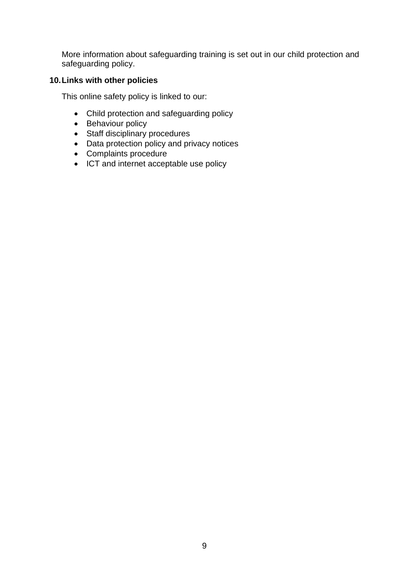More information about safeguarding training is set out in our child protection and safeguarding policy.

# <span id="page-8-0"></span>**10.Links with other policies**

This online safety policy is linked to our:

- Child protection and safeguarding policy
- Behaviour policy
- Staff disciplinary procedures
- Data protection policy and privacy notices
- Complaints procedure
- ICT and internet acceptable use policy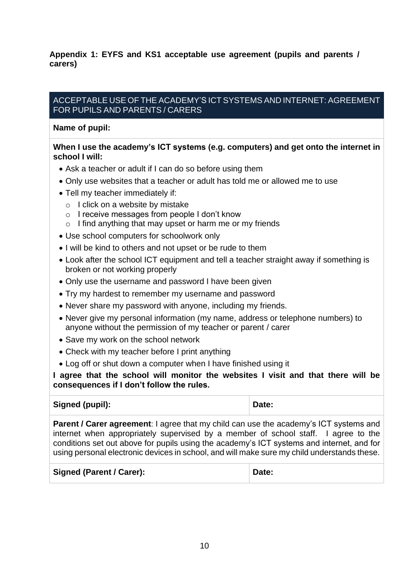<span id="page-9-0"></span>**Appendix 1: EYFS and KS1 acceptable use agreement (pupils and parents / carers)**

#### ACCEPTABLE USE OF THE ACADEMY'S ICT SYSTEMS AND INTERNET: AGREEMENT FOR PUPILS AND PARENTS / CARERS

#### **Name of pupil:**

#### **When I use the academy's ICT systems (e.g. computers) and get onto the internet in school I will:**

- Ask a teacher or adult if I can do so before using them
- Only use websites that a teacher or adult has told me or allowed me to use
- Tell my teacher immediately if:
	- o I click on a website by mistake
	- o I receive messages from people I don't know
	- $\circ$  I find anything that may upset or harm me or my friends
- Use school computers for schoolwork only
- I will be kind to others and not upset or be rude to them
- Look after the school ICT equipment and tell a teacher straight away if something is broken or not working properly
- Only use the username and password I have been given
- Try my hardest to remember my username and password
- Never share my password with anyone, including my friends.
- Never give my personal information (my name, address or telephone numbers) to anyone without the permission of my teacher or parent / carer
- Save my work on the school network
- Check with my teacher before I print anything
- Log off or shut down a computer when I have finished using it

**I agree that the school will monitor the websites I visit and that there will be consequences if I don't follow the rules.**

| Signed (pupil): | Date: |
|-----------------|-------|
|-----------------|-------|

**Parent / Carer agreement**: I agree that my child can use the academy's ICT systems and internet when appropriately supervised by a member of school staff. I agree to the conditions set out above for pupils using the academy's ICT systems and internet, and for using personal electronic devices in school, and will make sure my child understands these.

| Signed (Parent / Carer): | Date: |
|--------------------------|-------|
|                          |       |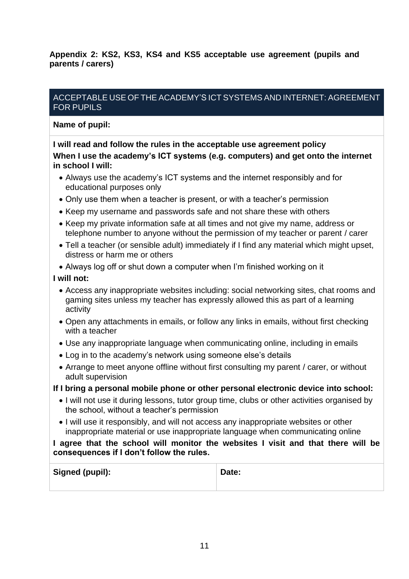<span id="page-10-0"></span>**Appendix 2: KS2, KS3, KS4 and KS5 acceptable use agreement (pupils and parents / carers)**

# ACCEPTABLE USE OF THE ACADEMY'S ICT SYSTEMS AND INTERNET: AGREEMENT FOR PUPILS

#### **Name of pupil:**

# **I will read and follow the rules in the acceptable use agreement policy When I use the academy's ICT systems (e.g. computers) and get onto the internet in school I will:**

- Always use the academy's ICT systems and the internet responsibly and for educational purposes only
- Only use them when a teacher is present, or with a teacher's permission
- Keep my username and passwords safe and not share these with others
- Keep my private information safe at all times and not give my name, address or telephone number to anyone without the permission of my teacher or parent / carer
- Tell a teacher (or sensible adult) immediately if I find any material which might upset, distress or harm me or others
- Always log off or shut down a computer when I'm finished working on it

#### **I will not:**

- Access any inappropriate websites including: social networking sites, chat rooms and gaming sites unless my teacher has expressly allowed this as part of a learning activity
- Open any attachments in emails, or follow any links in emails, without first checking with a teacher
- Use any inappropriate language when communicating online, including in emails
- Log in to the academy's network using someone else's details
- Arrange to meet anyone offline without first consulting my parent / carer, or without adult supervision

#### **If I bring a personal mobile phone or other personal electronic device into school:**

- I will not use it during lessons, tutor group time, clubs or other activities organised by the school, without a teacher's permission
- I will use it responsibly, and will not access any inappropriate websites or other inappropriate material or use inappropriate language when communicating online

#### **I agree that the school will monitor the websites I visit and that there will be consequences if I don't follow the rules.**

| Signed (pupil): | Date: |
|-----------------|-------|
|                 |       |